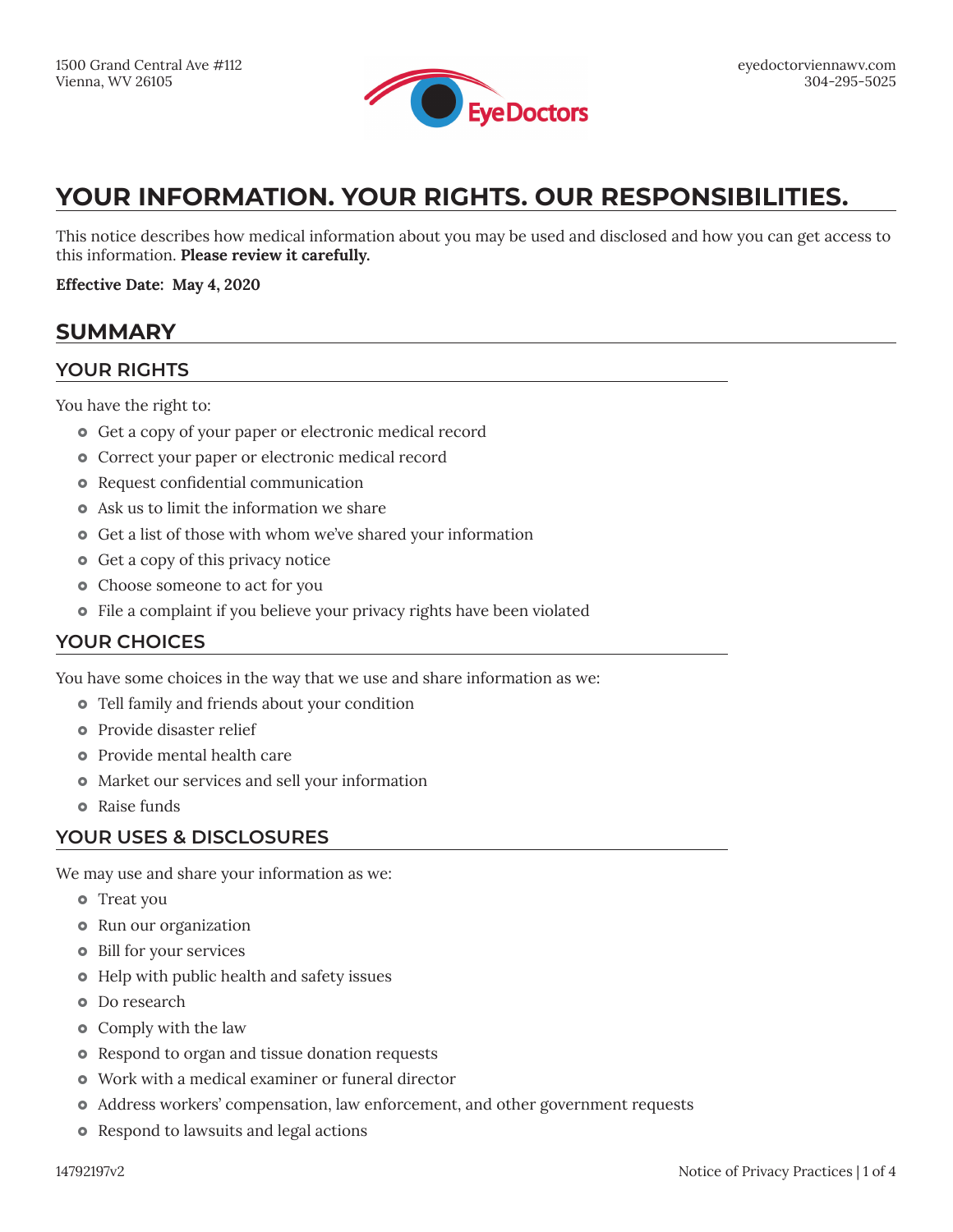

# **YOUR INFORMATION. YOUR RIGHTS. OUR RESPONSIBILITIES.**

This notice describes how medical information about you may be used and disclosed and how you can get access to this information. **Please review it carefully.**

**Effective Date: May 4, 2020**

## **SUMMARY**

### **YOUR RIGHTS**

You have the right to:

- Get a copy of your paper or electronic medical record
- Correct your paper or electronic medical record
- Request confidential communication
- Ask us to limit the information we share
- Get a list of those with whom we've shared your information
- Get a copy of this privacy notice
- Choose someone to act for you
- File a complaint if you believe your privacy rights have been violated

### **YOUR CHOICES**

You have some choices in the way that we use and share information as we:

- **•** Tell family and friends about your condition
- Provide disaster relief
- Provide mental health care
- Market our services and sell your information
- **•** Raise funds

### **YOUR USES & DISCLOSURES**

We may use and share your information as we:

- **•** Treat you
- Run our organization
- Bill for your services
- Help with public health and safety issues
- **•** Do research
- Comply with the law
- Respond to organ and tissue donation requests
- Work with a medical examiner or funeral director
- Address workers' compensation, law enforcement, and other government requests
- Respond to lawsuits and legal actions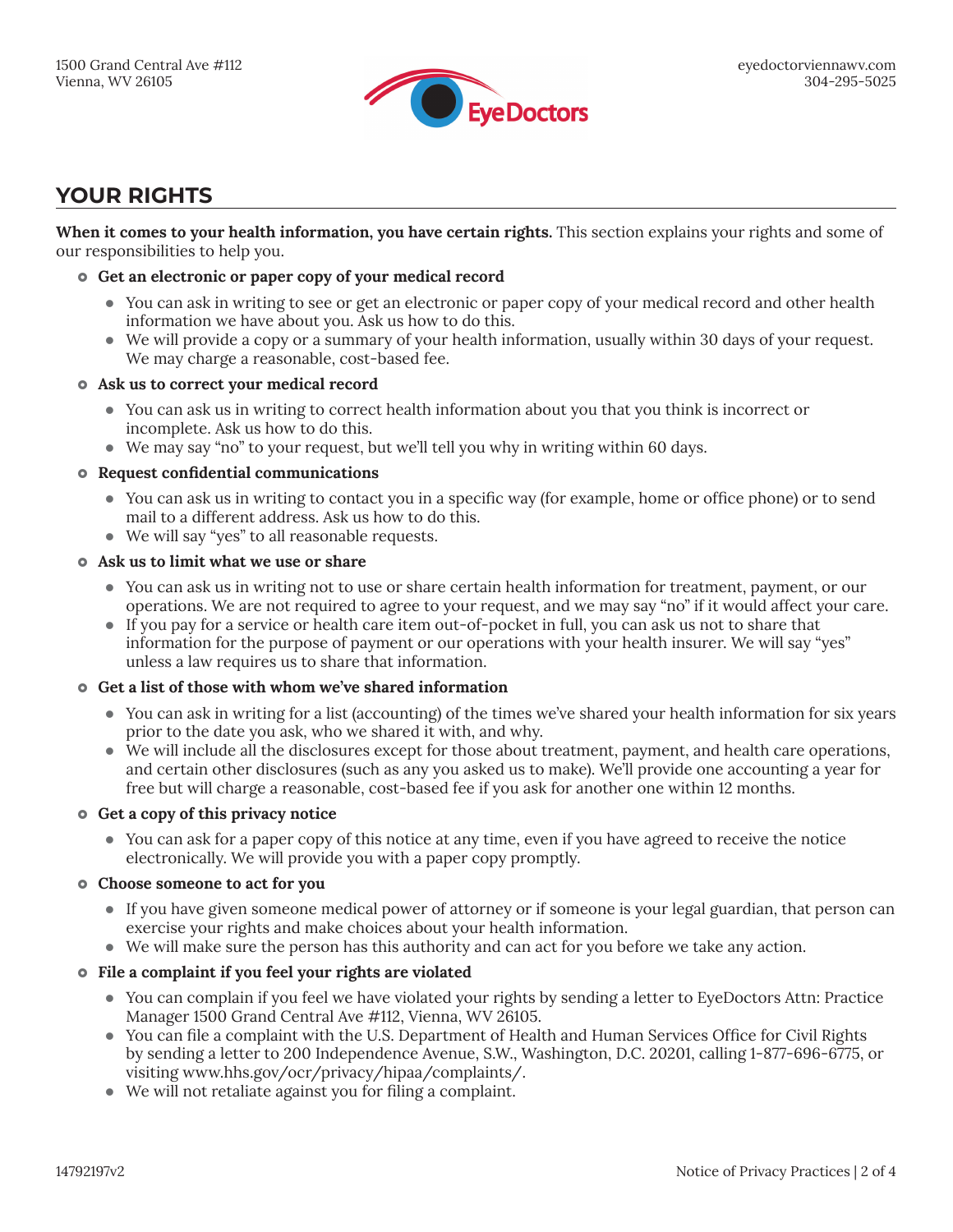

# **YOUR RIGHTS**

**When it comes to your health information, you have certain rights.** This section explains your rights and some of our responsibilities to help you.

#### } **Get an electronic or paper copy of your medical record**

- You can ask in writing to see or get an electronic or paper copy of your medical record and other health information we have about you. Ask us how to do this.
- We will provide a copy or a summary of your health information, usually within 30 days of your request. We may charge a reasonable, cost-based fee.

#### } **Ask us to correct your medical record**

- You can ask us in writing to correct health information about you that you think is incorrect or incomplete. Ask us how to do this.
- We may say "no" to your request, but we'll tell you why in writing within 60 days.

#### } **Request confidential communications**

- You can ask us in writing to contact you in a specific way (for example, home or office phone) or to send mail to a different address. Ask us how to do this.
- We will say "yes" to all reasonable requests.

#### } **Ask us to limit what we use or share**

- You can ask us in writing not to use or share certain health information for treatment, payment, or our operations. We are not required to agree to your request, and we may say "no" if it would affect your care.
- If you pay for a service or health care item out-of-pocket in full, you can ask us not to share that information for the purpose of payment or our operations with your health insurer. We will say "yes" unless a law requires us to share that information.

#### } **Get a list of those with whom we've shared information**

- You can ask in writing for a list (accounting) of the times we've shared your health information for six years prior to the date you ask, who we shared it with, and why.
- $\bullet$  We will include all the disclosures except for those about treatment, payment, and health care operations, and certain other disclosures (such as any you asked us to make). We'll provide one accounting a year for free but will charge a reasonable, cost-based fee if you ask for another one within 12 months.

#### } **Get a copy of this privacy notice**

• You can ask for a paper copy of this notice at any time, even if you have agreed to receive the notice electronically. We will provide you with a paper copy promptly.

#### } **Choose someone to act for you**

- If you have given someone medical power of attorney or if someone is your legal guardian, that person can exercise your rights and make choices about your health information.
- $\bullet$  We will make sure the person has this authority and can act for you before we take any action.

### } **File a complaint if you feel your rights are violated**

- You can complain if you feel we have violated your rights by sending a letter to EyeDoctors Attn: Practice Manager 1500 Grand Central Ave #112, Vienna, WV 26105.
- You can file a complaint with the U.S. Department of Health and Human Services Office for Civil Rights by sending a letter to 200 Independence Avenue, S.W., Washington, D.C. 20201, calling 1-877-696-6775, or visiting www.hhs.gov/ocr/privacy/hipaa/complaints/.
- $\bullet$  We will not retaliate against you for filing a complaint.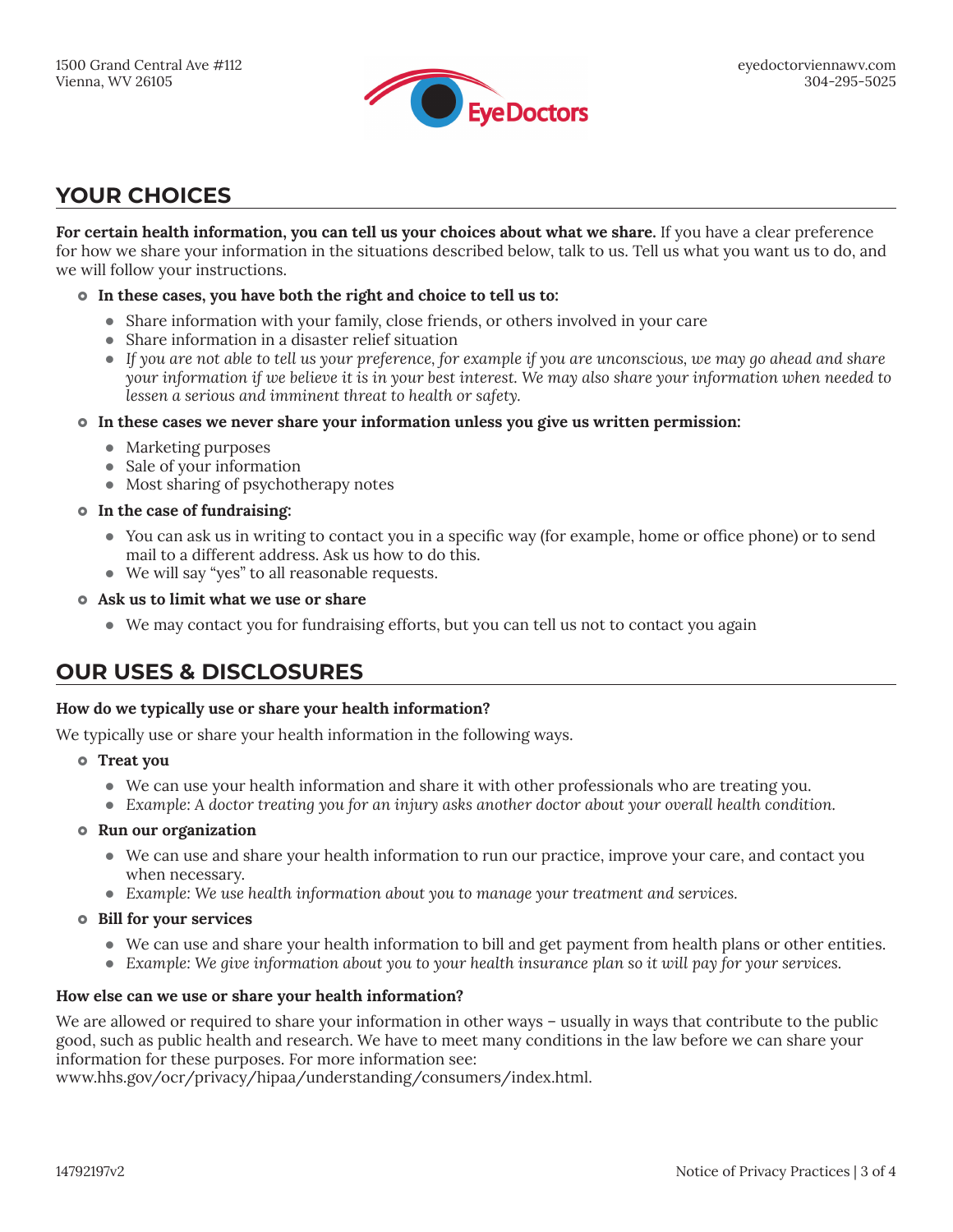

# **YOUR CHOICES**

**For certain health information, you can tell us your choices about what we share.** If you have a clear preference for how we share your information in the situations described below, talk to us. Tell us what you want us to do, and we will follow your instructions.

#### } **In these cases, you have both the right and choice to tell us to:**

- Share information with your family, close friends, or others involved in your care
- Share information in a disaster relief situation
- If you are not able to tell us your preference, for example if you are unconscious, we may go ahead and share *your information if we believe it is in your best interest. We may also share your information when needed to lessen a serious and imminent threat to health or safety.*
- } **In these cases we never share your information unless you give us written permission:**
	- Marketing purposes
	- Sale of your information
	- Most sharing of psychotherapy notes

#### } **In the case of fundraising:**

- You can ask us in writing to contact you in a specific way (for example, home or office phone) or to send mail to a different address. Ask us how to do this.
- We will say "yes" to all reasonable requests.
- } **Ask us to limit what we use or share**
	- We may contact you for fundraising efforts, but you can tell us not to contact you again

## **OUR USES & DISCLOSURES**

#### **How do we typically use or share your health information?**

We typically use or share your health information in the following ways.

- } **Treat you**
	- $\bullet$  We can use your health information and share it with other professionals who are treating you.
	- **Example:** A doctor treating you for an injury asks another doctor about your overall health condition.
- $\circ$  Run our organization
	- We can use and share your health information to run our practice, improve your care, and contact you when necessary.
	- **Example:** We use health information about you to manage your treatment and services.

#### } **Bill for your services**

- We can use and share your health information to bill and get payment from health plans or other entities.
- **Example:** We give information about you to your health insurance plan so it will pay for your services.

#### **How else can we use or share your health information?**

We are allowed or required to share your information in other ways – usually in ways that contribute to the public good, such as public health and research. We have to meet many conditions in the law before we can share your information for these purposes. For more information see:

www.hhs.gov/ocr/privacy/hipaa/understanding/consumers/index.html.